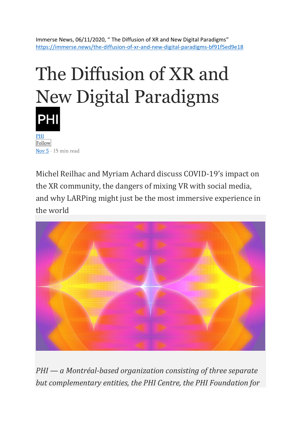Immerse News, 06/11/2020, " The Diffusion of XR and New Digital Paradigms" <https://immerse.news/the-diffusion-of-xr-and-new-digital-paradigms-bf91f5ed9e18>

## The Diffusion of XR and New Digital Paradigms [PHI](https://medium.com/@phi.ca?source=post_page-----bf91f5ed9e18--------------------------------)

[Follow](https://medium.com/m/signin?actionUrl=%2F_%2Fsubscribe%2Fuser%2Fcafe1fdf1814&operation=register&redirect=https%3A%2F%2Fimmerse.news%2Fthe-diffusion-of-xr-and-new-digital-paradigms-bf91f5ed9e18&source=post_page-cafe1fdf1814----bf91f5ed9e18---------------------follow_byline-----------) [Nov 5](https://immerse.news/the-diffusion-of-xr-and-new-digital-paradigms-bf91f5ed9e18?source=post_page-----bf91f5ed9e18--------------------------------) · 15 min read

Michel Reilhac and Myriam Achard discuss COVID-19's impact on the XR community, the dangers of mixing VR with social media, and why LARPing might just be the most immersive experience in the world



*PHI — a Montréal-based organization consisting of three separate but complementary entities, the PHI Centre, the PHI Foundation for*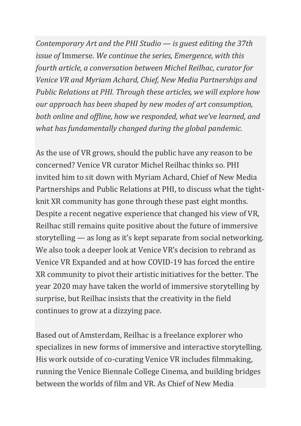*Contemporary Art and the PHI Studio — is guest editing the 37th issue of* Immerse*. We continue the series, Emergence, with this fourth article, a conversation between Michel Reilhac, curator for Venice VR and Myriam Achard, Chief, New Media Partnerships and Public Relations at PHI. Through these articles, we will explore how our approach has been shaped by new modes of art consumption, both online and offline, how we responded, what we've learned, and what has fundamentally changed during the global pandemic.*

As the use of VR grows, should the public have any reason to be concerned? Venice VR curator Michel Reilhac thinks so. PHI invited him to sit down with Myriam Achard, Chief of New Media Partnerships and Public Relations at PHI, to discuss what the tightknit XR community has gone through these past eight months. Despite a recent negative experience that changed his view of VR, Reilhac still remains quite positive about the future of immersive storytelling — as long as it's kept separate from social networking. We also took a deeper look at Venice VR's decision to rebrand as Venice VR Expanded and at how COVID-19 has forced the entire XR community to pivot their artistic initiatives for the better. The year 2020 may have taken the world of immersive storytelling by surprise, but Reilhac insists that the creativity in the field continues to grow at a dizzying pace.

Based out of Amsterdam, Reilhac is a freelance explorer who specializes in new forms of immersive and interactive storytelling. His work outside of co-curating Venice VR includes filmmaking, running the Venice Biennale College Cinema, and building bridges between the worlds of film and VR. As Chief of New Media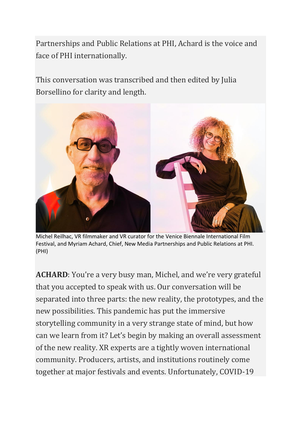Partnerships and Public Relations at PHI, Achard is the voice and face of PHI internationally.

This conversation was transcribed and then edited by Julia Borsellino for clarity and length.



Michel Reilhac, VR filmmaker and VR curator for the Venice Biennale International Film Festival, and Myriam Achard, Chief, New Media Partnerships and Public Relations at PHI. (PHI)

**ACHARD**: You're a very busy man, Michel, and we're very grateful that you accepted to speak with us. Our conversation will be separated into three parts: the new reality, the prototypes, and the new possibilities. This pandemic has put the immersive storytelling community in a very strange state of mind, but how can we learn from it? Let's begin by making an overall assessment of the new reality. XR experts are a tightly woven international community. Producers, artists, and institutions routinely come together at major festivals and events. Unfortunately, COVID-19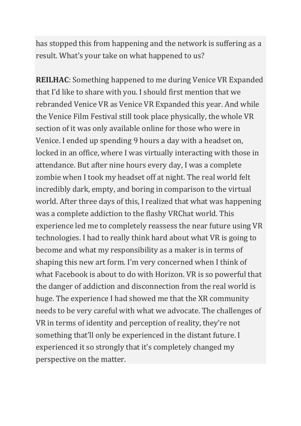has stopped this from happening and the network is suffering as a result. What's your take on what happened to us?

**REILHAC**: Something happened to me during Venice VR Expanded that I'd like to share with you. I should first mention that we rebranded Venice VR as Venice VR Expanded this year. And while the Venice Film Festival still took place physically, the whole VR section of it was only available online for those who were in Venice. I ended up spending 9 hours a day with a headset on, locked in an office, where I was virtually interacting with those in attendance. But after nine hours every day, I was a complete zombie when I took my headset off at night. The real world felt incredibly dark, empty, and boring in comparison to the virtual world. After three days of this, I realized that what was happening was a complete addiction to the flashy VRChat world. This experience led me to completely reassess the near future using VR technologies. I had to really think hard about what VR is going to become and what my responsibility as a maker is in terms of shaping this new art form. I'm very concerned when I think of what Facebook is about to do with Horizon. VR is so powerful that the danger of addiction and disconnection from the real world is huge. The experience I had showed me that the XR community needs to be very careful with what we advocate. The challenges of VR in terms of identity and perception of reality, they're not something that'll only be experienced in the distant future. I experienced it so strongly that it's completely changed my perspective on the matter.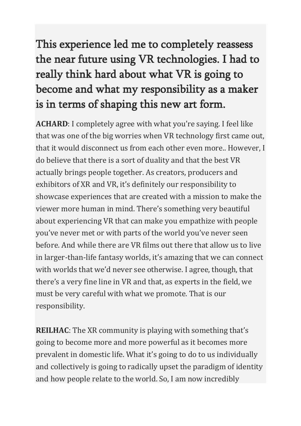## This experience led me to completely reassess the near future using VR technologies. I had to really think hard about what VR is going to become and what my responsibility as a maker is in terms of shaping this new art form.

**ACHARD**: I completely agree with what you're saying. I feel like that was one of the big worries when VR technology first came out, that it would disconnect us from each other even more.. However, I do believe that there is a sort of duality and that the best VR actually brings people together. As creators, producers and exhibitors of XR and VR, it's definitely our responsibility to showcase experiences that are created with a mission to make the viewer more human in mind. There's something very beautiful about experiencing VR that can make you empathize with people you've never met or with parts of the world you've never seen before. And while there are VR films out there that allow us to live in larger-than-life fantasy worlds, it's amazing that we can connect with worlds that we'd never see otherwise. I agree, though, that there's a very fine line in VR and that, as experts in the field, we must be very careful with what we promote. That is our responsibility.

**REILHAC**: The XR community is playing with something that's going to become more and more powerful as it becomes more prevalent in domestic life. What it's going to do to us individually and collectively is going to radically upset the paradigm of identity and how people relate to the world. So, I am now incredibly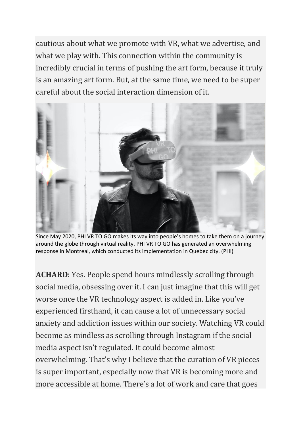cautious about what we promote with VR, what we advertise, and what we play with. This connection within the community is incredibly crucial in terms of pushing the art form, because it truly is an amazing art form. But, at the same time, we need to be super careful about the social interaction dimension of it.



Since May 2020, PHI VR TO GO makes its way into people's homes to take them on a journey around the globe through virtual reality. PHI VR TO GO has generated an overwhelming response in Montreal, which conducted its implementation in Quebec city. (PHI)

**ACHARD**: Yes. People spend hours mindlessly scrolling through social media, obsessing over it. I can just imagine that this will get worse once the VR technology aspect is added in. Like you've experienced firsthand, it can cause a lot of unnecessary social anxiety and addiction issues within our society. Watching VR could become as mindless as scrolling through Instagram if the social media aspect isn't regulated. It could become almost overwhelming. That's why I believe that the curation of VR pieces is super important, especially now that VR is becoming more and more accessible at home. There's a lot of work and care that goes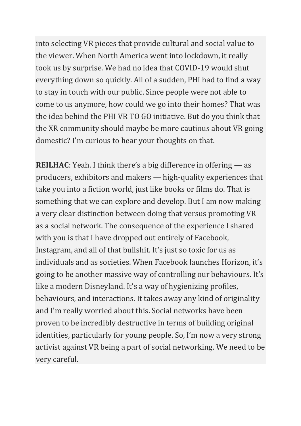into selecting VR pieces that provide cultural and social value to the viewer. When North America went into lockdown, it really took us by surprise. We had no idea that COVID-19 would shut everything down so quickly. All of a sudden, PHI had to find a way to stay in touch with our public. Since people were not able to come to us anymore, how could we go into their homes? That was the idea behind the PHI VR TO GO initiative. But do you think that the XR community should maybe be more cautious about VR going domestic? I'm curious to hear your thoughts on that.

**REILHAC**: Yeah. I think there's a big difference in offering — as producers, exhibitors and makers — high-quality experiences that take you into a fiction world, just like books or films do. That is something that we can explore and develop. But I am now making a very clear distinction between doing that versus promoting VR as a social network. The consequence of the experience I shared with you is that I have dropped out entirely of Facebook, Instagram, and all of that bullshit. It's just so toxic for us as individuals and as societies. When Facebook launches Horizon, it's going to be another massive way of controlling our behaviours. It's like a modern Disneyland. It's a way of hygienizing profiles, behaviours, and interactions. It takes away any kind of originality and I'm really worried about this. Social networks have been proven to be incredibly destructive in terms of building original identities, particularly for young people. So, I'm now a very strong activist against VR being a part of social networking. We need to be very careful.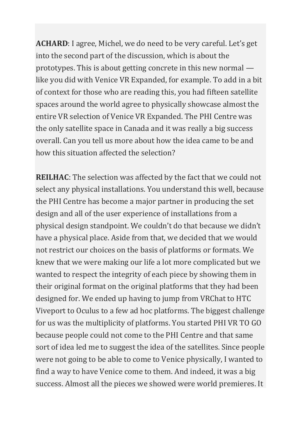**ACHARD**: I agree, Michel, we do need to be very careful. Let's get into the second part of the discussion, which is about the prototypes. This is about getting concrete in this new normal like you did with Venice VR Expanded, for example. To add in a bit of context for those who are reading this, you had fifteen satellite spaces around the world agree to physically showcase almost the entire VR selection of Venice VR Expanded. The PHI Centre was the only satellite space in Canada and it was really a big success overall. Can you tell us more about how the idea came to be and how this situation affected the selection?

**REILHAC**: The selection was affected by the fact that we could not select any physical installations. You understand this well, because the PHI Centre has become a major partner in producing the set design and all of the user experience of installations from a physical design standpoint. We couldn't do that because we didn't have a physical place. Aside from that, we decided that we would not restrict our choices on the basis of platforms or formats. We knew that we were making our life a lot more complicated but we wanted to respect the integrity of each piece by showing them in their original format on the original platforms that they had been designed for. We ended up having to jump from VRChat to HTC Viveport to Oculus to a few ad hoc platforms. The biggest challenge for us was the multiplicity of platforms. You started PHI VR TO GO because people could not come to the PHI Centre and that same sort of idea led me to suggest the idea of the satellites. Since people were not going to be able to come to Venice physically, I wanted to find a way to have Venice come to them. And indeed, it was a big success. Almost all the pieces we showed were world premieres. It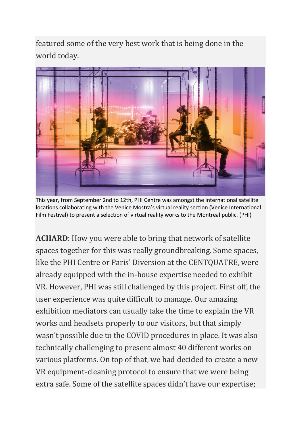featured some of the very best work that is being done in the world today.



This year, from September 2nd to 12th, PHI Centre was amongst the international satellite locations collaborating with the Venice Mostra's virtual reality section (Venice International Film Festival) to present a selection of virtual reality works to the Montreal public. (PHI)

**ACHARD**: How you were able to bring that network of satellite spaces together for this was really groundbreaking. Some spaces, like the PHI Centre or Paris' Diversion at the CENTQUATRE, were already equipped with the in-house expertise needed to exhibit VR. However, PHI was still challenged by this project. First off, the user experience was quite difficult to manage. Our amazing exhibition mediators can usually take the time to explain the VR works and headsets properly to our visitors, but that simply wasn't possible due to the COVID procedures in place. It was also technically challenging to present almost 40 different works on various platforms. On top of that, we had decided to create a new VR equipment-cleaning protocol to ensure that we were being extra safe. Some of the satellite spaces didn't have our expertise;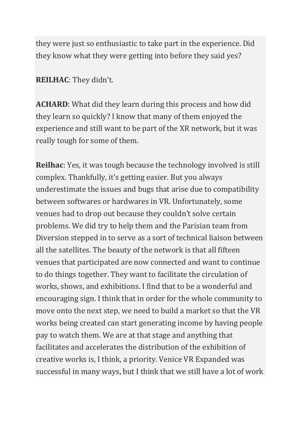they were just so enthusiastic to take part in the experience. Did they know what they were getting into before they said yes?

## **REILHAC**: They didn't.

**ACHARD**: What did they learn during this process and how did they learn so quickly? I know that many of them enjoyed the experience and still want to be part of the XR network, but it was really tough for some of them.

**Reilhac**: Yes, it was tough because the technology involved is still complex. Thankfully, it's getting easier. But you always underestimate the issues and bugs that arise due to compatibility between softwares or hardwares in VR. Unfortunately, some venues had to drop out because they couldn't solve certain problems. We did try to help them and the Parisian team from Diversion stepped in to serve as a sort of technical liaison between all the satellites. The beauty of the network is that all fifteen venues that participated are now connected and want to continue to do things together. They want to facilitate the circulation of works, shows, and exhibitions. I find that to be a wonderful and encouraging sign. I think that in order for the whole community to move onto the next step, we need to build a market so that the VR works being created can start generating income by having people pay to watch them. We are at that stage and anything that facilitates and accelerates the distribution of the exhibition of creative works is, I think, a priority. Venice VR Expanded was successful in many ways, but I think that we still have a lot of work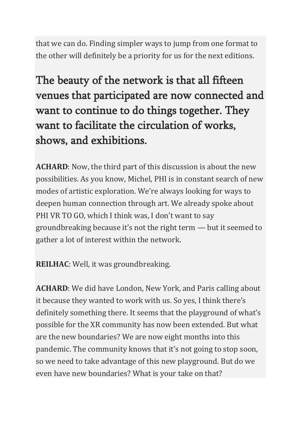that we can do. Finding simpler ways to jump from one format to the other will definitely be a priority for us for the next editions.

The beauty of the network is that all fifteen venues that participated are now connected and want to continue to do things together. They want to facilitate the circulation of works, shows, and exhibitions.

**ACHARD**: Now, the third part of this discussion is about the new possibilities. As you know, Michel, PHI is in constant search of new modes of artistic exploration. We're always looking for ways to deepen human connection through art. We already spoke about PHI VR TO GO, which I think was, I don't want to say groundbreaking because it's not the right term — but it seemed to gather a lot of interest within the network.

**REILHAC**: Well, it was groundbreaking.

**ACHARD**: We did have London, New York, and Paris calling about it because they wanted to work with us. So yes, I think there's definitely something there. It seems that the playground of what's possible for the XR community has now been extended. But what are the new boundaries? We are now eight months into this pandemic. The community knows that it's not going to stop soon, so we need to take advantage of this new playground. But do we even have new boundaries? What is your take on that?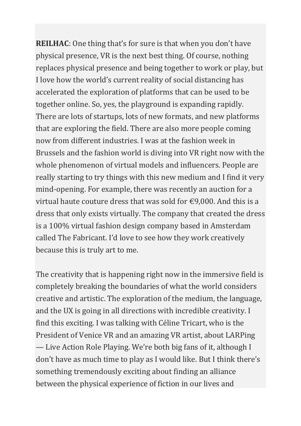**REILHAC**: One thing that's for sure is that when you don't have physical presence, VR is the next best thing. Of course, nothing replaces physical presence and being together to work or play, but I love how the world's current reality of social distancing has accelerated the exploration of platforms that can be used to be together online. So, yes, the playground is expanding rapidly. There are lots of startups, lots of new formats, and new platforms that are exploring the field. There are also more people coming now from different industries. I was at the fashion week in Brussels and the fashion world is diving into VR right now with the whole phenomenon of virtual models and influencers. People are really starting to try things with this new medium and I find it very mind-opening. For example, there was recently an auction for a virtual haute couture dress that was sold for  $\epsilon$ 9,000. And this is a dress that only exists virtually. The company that created the dress is a 100% virtual fashion design company based in Amsterdam called The Fabricant. I'd love to see how they work creatively because this is truly art to me.

The creativity that is happening right now in the immersive field is completely breaking the boundaries of what the world considers creative and artistic. The exploration of the medium, the language, and the UX is going in all directions with incredible creativity. I find this exciting. I was talking with Céline Tricart, who is the President of Venice VR and an amazing VR artist, about LARPing — Live Action Role Playing. We're both big fans of it, although I don't have as much time to play as I would like. But I think there's something tremendously exciting about finding an alliance between the physical experience of fiction in our lives and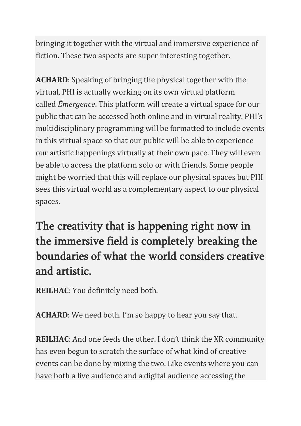bringing it together with the virtual and immersive experience of fiction. These two aspects are super interesting together.

**ACHARD**: Speaking of bringing the physical together with the virtual, PHI is actually working on its own virtual platform called *Émergence*. This platform will create a virtual space for our public that can be accessed both online and in virtual reality. PHI's multidisciplinary programming will be formatted to include events in this virtual space so that our public will be able to experience our artistic happenings virtually at their own pace. They will even be able to access the platform solo or with friends. Some people might be worried that this will replace our physical spaces but PHI sees this virtual world as a complementary aspect to our physical spaces.

The creativity that is happening right now in the immersive field is completely breaking the boundaries of what the world considers creative and artistic.

**REILHAC**: You definitely need both.

**ACHARD**: We need both. I'm so happy to hear you say that.

**REILHAC**: And one feeds the other. I don't think the XR community has even begun to scratch the surface of what kind of creative events can be done by mixing the two. Like events where you can have both a live audience and a digital audience accessing the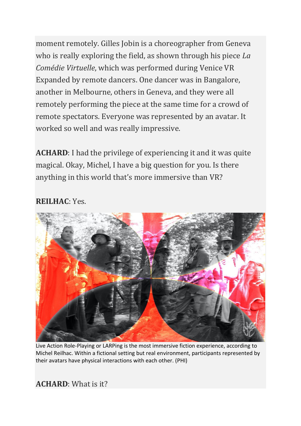moment remotely. Gilles Jobin is a choreographer from Geneva who is really exploring the field, as shown through his piece *La Comédie Virtuelle*, which was performed during Venice VR Expanded by remote dancers. One dancer was in Bangalore, another in Melbourne, others in Geneva, and they were all remotely performing the piece at the same time for a crowd of remote spectators. Everyone was represented by an avatar. It worked so well and was really impressive.

**ACHARD**: I had the privilege of experiencing it and it was quite magical. Okay, Michel, I have a big question for you. Is there anything in this world that's more immersive than VR?

## **REILHAC**: Yes.



Live Action Role-Playing or LARPing is the most immersive fiction experience, according to Michel Reilhac. Within a fictional setting but real environment, participants represented by their avatars have physical interactions with each other. (PHI)

**ACHARD**: What is it?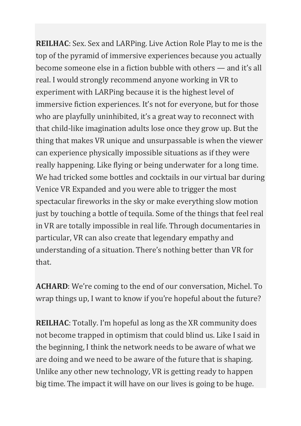**REILHAC**: Sex. Sex and LARPing. Live Action Role Play to me is the top of the pyramid of immersive experiences because you actually become someone else in a fiction bubble with others — and it's all real. I would strongly recommend anyone working in VR to experiment with LARPing because it is the highest level of immersive fiction experiences. It's not for everyone, but for those who are playfully uninhibited, it's a great way to reconnect with that child-like imagination adults lose once they grow up. But the thing that makes VR unique and unsurpassable is when the viewer can experience physically impossible situations as if they were really happening. Like flying or being underwater for a long time. We had tricked some bottles and cocktails in our virtual bar during Venice VR Expanded and you were able to trigger the most spectacular fireworks in the sky or make everything slow motion just by touching a bottle of tequila. Some of the things that feel real in VR are totally impossible in real life. Through documentaries in particular, VR can also create that legendary empathy and understanding of a situation. There's nothing better than VR for that.

**ACHARD**: We're coming to the end of our conversation, Michel. To wrap things up, I want to know if you're hopeful about the future?

**REILHAC**: Totally. I'm hopeful as long as the XR community does not become trapped in optimism that could blind us. Like I said in the beginning, I think the network needs to be aware of what we are doing and we need to be aware of the future that is shaping. Unlike any other new technology, VR is getting ready to happen big time. The impact it will have on our lives is going to be huge.